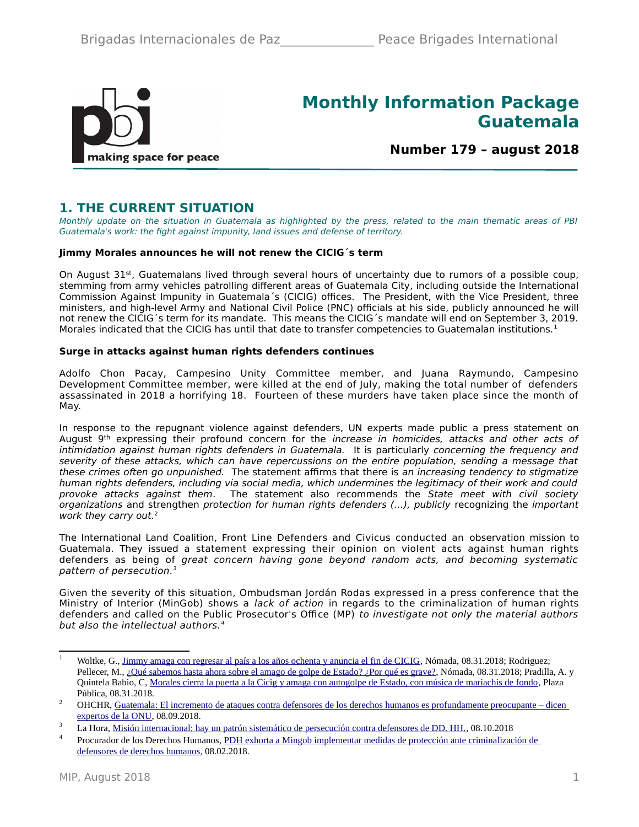

# **Monthly Information Package Guatemala**

**Number 179 – august 2018**

## **1. THE CURRENT SITUATION**

Monthly update on the situation in Guatemala as highlighted by the press, related to the main thematic areas of PBI Guatemala's work: the fight against impunity, land issues and defense of territory.

#### **Jimmy Morales announces he will not renew the CICIG´s term**

On August 31st, Guatemalans lived through several hours of uncertainty due to rumors of a possible coup, stemming from army vehicles patrolling different areas of Guatemala City, including outside the International Commission Against Impunity in Guatemala´s (CICIG) offices. The President, with the Vice President, three ministers, and high-level Army and National Civil Police (PNC) officials at his side, publicly announced he will not renew the CICIG´s term for its mandate. This means the CICIG´s mandate will end on September 3, 2019. Morales indicated that the CICIG has until that date to transfer competencies to Guatemalan institutions.<sup>[1](#page-0-0)</sup>

#### **Surge in attacks against human rights defenders continues**

Adolfo Chon Pacay, Campesino Unity Committee member, and Juana Raymundo, Campesino Development Committee member, were killed at the end of July, making the total number of defenders assassinated in 2018 a horrifying 18. Fourteen of these murders have taken place since the month of May.

In response to the repugnant violence against defenders, UN experts made public a press statement on August 9<sup>th</sup> expressing their profound concern for the increase in homicides, attacks and other acts of intimidation against human rights defenders in Guatemala. It is particularly concerning the frequency and severity of these attacks, which can have repercussions on the entire population, sending a message that these crimes often go unpunished. The statement affirms that there is an increasing tendency to stigmatize human rights defenders, including via social media, which undermines the legitimacy of their work and could provoke attacks against them. The statement also recommends the State meet with civil society organizations and strengthen protection for human rights defenders (…), publicly recognizing the important work they carry out.<sup>[2](#page-0-1)</sup>

The International Land Coalition, Front Line Defenders and Civicus conducted an observation mission to Guatemala. They issued a statement expressing their opinion on violent acts against human rights defenders as being of great concern having gone beyond random acts, and becoming systematic pattern of persecution.[3](#page-0-2)

Given the severity of this situation, Ombudsman Jordán Rodas expressed in a press conference that the Ministry of Interior (MinGob) shows a lack of action in regards to the criminalization of human rights defenders and called on the Public Prosecutor's Office (MP) to investigate not only the material authors but also the intellectual authors.<sup>[4](#page-0-3)</sup>

<span id="page-0-0"></span><sup>&</sup>lt;sup>1</sup> Woltke, G., [Jimmy amaga con regresar al país a los años ochenta y anuncia el fin de CICIG,](https://nomada.gt/pais/la-corrupcion-no-es-normal/jimmy-amaga-con-regresar-al-pais-a-los-anos-ochenta-y-anuncia-el-fin-de-cicig/) Nómada, 08.31.2018; Rodriguez; Pellecer, M., [¿Qué sabemos hasta ahora sobre el amago de golpe de Estado? ¿Por qué es grave?,](https://nomada.gt/pais/entender-la-politica/que-sabemos-hasta-ahora-sobre-el-posible-golpe-de-estado-por-que-es-grave/) Nómada, 08.31.2018; Pradilla, A. y Quintela Babio, C, [Morales cierra la puerta a la Cicig y amaga con autogolpe de Estado, con música de mariachis de fondo,](https://www.plazapublica.com.gt/content/morales-cierra-la-puerta-la-cicig-y-amaga-con-autogolpe-de-estado-con-musica-de-mariachis-de) Plaza Pública, 08.31.2018.

<span id="page-0-1"></span><sup>&</sup>lt;sup>2</sup> OHCHR, Guatemala: El incremento de ataques contra defensores de los derechos humanos es profundamente preocupante – dicen [expertos de la ONU,](https://www.ohchr.org/SP/NewsEvents/Pages/DisplayNews.aspx?NewsID=23435&LangID=S) 08.09.2018.

<span id="page-0-2"></span><sup>&</sup>lt;sup>3</sup> La Hora, <u>Misión internacional: hay un patrón sistemático de persecución contra defensores de DD. HH., 08.10.2018</u>

<span id="page-0-3"></span><sup>4</sup> Procurador de los Derechos Humanos, [PDH exhorta a Mingob implementar medidas de protección ante criminalización de](https://www.pdh.org.gt/pdh-exhorta-a-mingob-implementar-medidas-de-proteccion-ante-criminalizacion-de-defensores-de-derechos-humanos/)  [defensores de derechos humanos,](https://www.pdh.org.gt/pdh-exhorta-a-mingob-implementar-medidas-de-proteccion-ante-criminalizacion-de-defensores-de-derechos-humanos/) 08.02.2018.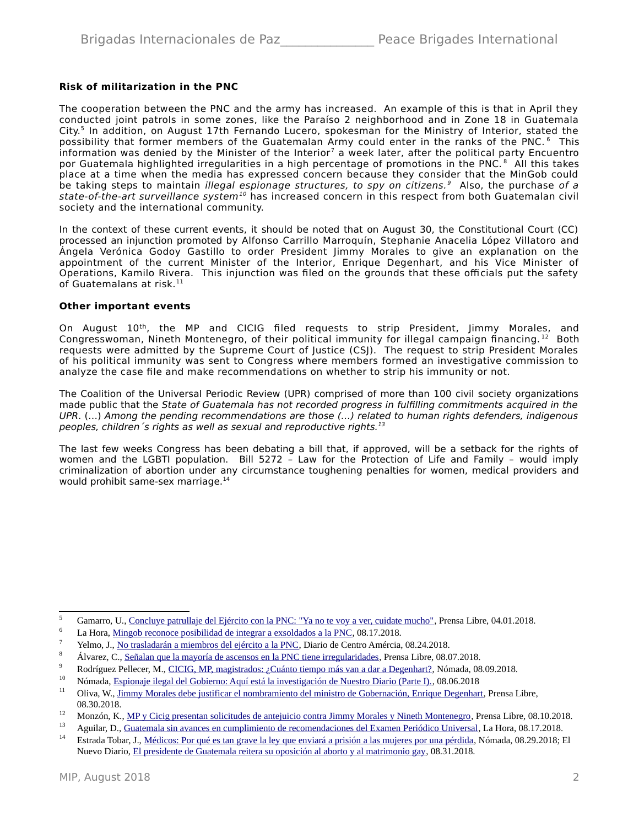#### **Risk of militarization in the PNC**

The cooperation between the PNC and the army has increased. An example of this is that in April they conducted joint patrols in some zones, like the Paraíso 2 neighborhood and in Zone 18 in Guatemala City.<sup>[5](#page-1-0)</sup> In addition, on August 17th Fernando Lucero, spokesman for the Ministry of Interior, stated the possibility that former members of the Guatemalan Army could enter in the ranks of the PNC. <sup>[6](#page-1-1)</sup> This information was denied by the Minister of the Interior<sup>[7](#page-1-2)</sup> a week later, after the political party Encuentro por Guatemala highlighted irregularities in a high percentage of promotions in the PNC.<sup>[8](#page-1-3)</sup> All this takes place at a time when the media has expressed concern because they consider that the MinGob could be taking steps to maintain *illegal espionage structures, to spy on citizens.*  $9$  Also, the purchase of a state-of-the-art surveillance system<sup>[10](#page-1-5)</sup> has increased concern in this respect from both Guatemalan civil society and the international community.

In the context of these current events, it should be noted that on August 30, the Constitutional Court (CC) processed an injunction promoted by Alfonso Carrillo Marroquín, Stephanie Anacelia López Villatoro and Ángela Verónica Godoy Gastillo to order President Jimmy Morales to give an explanation on the appointment of the current Minister of the Interior, Enrique Degenhart, and his Vice Minister of Operations, Kamilo Rivera. This injunction was filed on the grounds that these officials put the safety of Guatemalans at risk. $11$ 

#### **Other important events**

On August 10<sup>th</sup>, the MP and CICIG filed requests to strip President, Jimmy Morales, and Congresswoman, Nineth Montenegro, of their political immunity for illegal campaign financing. [12](#page-1-7) Both requests were admitted by the Supreme Court of Justice (CSJ). The request to strip President Morales of his political immunity was sent to Congress where members formed an investigative commission to analyze the case file and make recommendations on whether to strip his immunity or not.

The Coalition of the Universal Periodic Review (UPR) comprised of more than 100 civil society organizations made public that the State of Guatemala has not recorded progress in fulfilling commitments acquired in the UPR. (…) Among the pending recommendations are those (…) related to human rights defenders, indigenous peoples, children's rights as well as sexual and reproductive rights. $13$ 

The last few weeks Congress has been debating a bill that, if approved, will be a setback for the rights of women and the LGBTI population. Bill 5272 – Law for the Protection of Life and Family – would imply criminalization of abortion under any circumstance toughening penalties for women, medical providers and would prohibit same-sex marriage.<sup>[14](#page-1-9)</sup>

<span id="page-1-0"></span><sup>&</sup>lt;sup>5</sup> Gamarro, U., <u>Concluye patrullaje del Ejército con la PNC: "Ya no te voy a ver, cuidate mucho"</u>, Prensa Libre, 04.01.2018.

<span id="page-1-1"></span><sup>6</sup> La Hora, [Mingob reconoce posibilidad de integrar a exsoldados a la PNC,](http://lahora.gt/mingob-reconoce-posibilidad-de-integrar-a-exsoldados-a-la-pnc/) 08.17.2018.

<span id="page-1-2"></span><sup>7</sup> Yelmo, J., [No trasladarán a miembros del ejército a la PNC,](http://mingob.gob.gt/no-trasladaran-a-miembros-del-ejercito-a-la-pnc/) Diario de Centro Amércia, 08.24.2018.

<span id="page-1-3"></span><sup>8</sup> Álvarez, C., [Señalan que la mayoría de ascensos en la PNC tiene irregularidades,](https://www.prensalibre.com/guatemala/politica/pnc-136-de-167-ascensos-tienen-anomalias) Prensa Libre, 08.07.2018.

<span id="page-1-4"></span><sup>9</sup> Rodríguez Pellecer, M., [CICIG, MP, magistrados: ¿Cuánto tiempo más van a dar a Degenhart?,](https://nomada.gt/pais/la-corrupcion-no-es-normal/cicig-mp-magistrados-cuanto-tiempo-mas-van-a-dar-a-degenhart/) Nómada, 08.09.2018.

<span id="page-1-5"></span><sup>10</sup> Nómada, [Espionaje ilegal del Gobierno: Aquí está la investigación de Nuestro Diario \(Parte I\).,](https://nomada.gt/pais/la-corrupcion-no-es-normal/espionaje-ilegal-del-gobierno-aqui-esta-la-investigacion-de-nuestro-diario-parte-i/) 08.06.2018<br>11 Olive M. Jimmy Maurles deba instituyo el nombreusiante del ministre de Gebeuresián Emissue Dezember

<span id="page-1-6"></span><sup>11</sup> Oliva, W., [Jimmy Morales debe justificar el nombramiento del ministro de Gobernación, Enrique Degenhart,](https://www.prensalibre.com/guatemala/politica/jimmy-morales-debe-justificar-el-nombramiento-del-ministro-de-gobernacion-enrique-degenhart) Prensa Libre, 08.30.2018.

<span id="page-1-7"></span><sup>&</sup>lt;sup>12</sup> Monzón, K., <u>MP y Cicig presentan solicitudes de antejuicio contra Jimmy Morales y Nineth Montenegro, Prensa Libre, 08.10.2018.</u>

<span id="page-1-8"></span><sup>&</sup>lt;sup>13</sup> Aguilar, D., [Guatemala sin avances en cumplimiento de recomendaciones del Examen Periódico Universal,](http://lahora.gt/guatemala-sin-avances-en-cumplimiento-de-recomendaciones-del-examen-periodico-universal/) La Hora, 08.17.2018.

<span id="page-1-9"></span><sup>&</sup>lt;sup>14</sup> Estrada Tobar, J., <u>Médicos: Por qué es tan grave la ley que enviará a prisión a las mujeres por una pérdida, Nómada, 08.29.2018; El</u> Nuevo Diario, [El presidente de Guatemala reitera su oposición al aborto y al matrimonio gay,](https://www.elnuevodiario.com.ni/internacionales/centroamerica/473584-jimmy-morales-oposicion-aborto-matrimonio-gay/) 08.31.2018.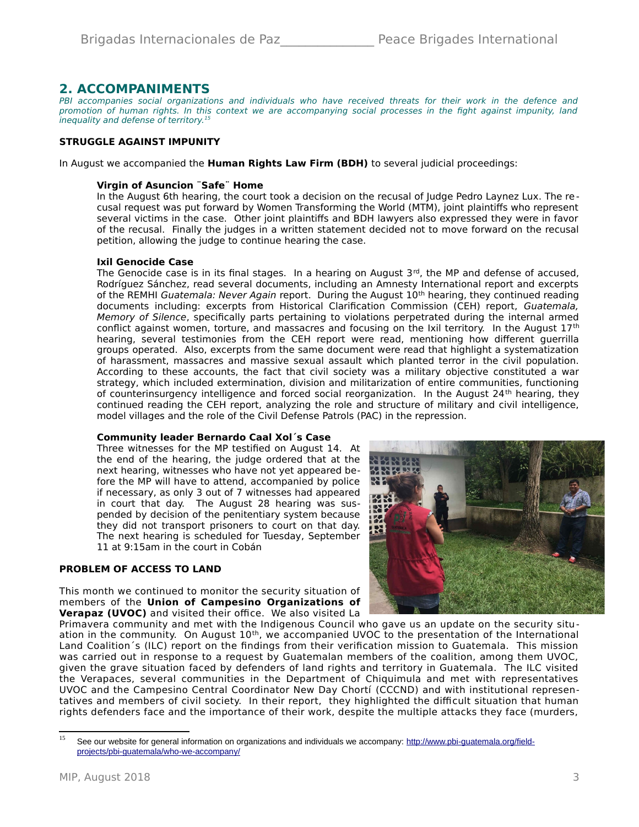### **2. ACCOMPANIMENTS**

PBI accompanies social organizations and individuals who have received threats for their work in the defence and promotion of human rights. In this context we are accompanying social processes in the fight against impunity, land inequality and defense of territory.<sup>[15](#page-2-0)</sup>

#### **STRUGGLE AGAINST IMPUNITY**

In August we accompanied the **Human Rights Law Firm (BDH)** to several judicial proceedings:

#### **Virgin of Asuncion ¨Safe¨ Home**

In the August 6th hearing, the court took a decision on the recusal of Judge Pedro Laynez Lux. The recusal request was put forward by Women Transforming the World (MTM), joint plaintiffs who represent several victims in the case. Other joint plaintiffs and BDH lawyers also expressed they were in favor of the recusal. Finally the judges in a written statement decided not to move forward on the recusal petition, allowing the judge to continue hearing the case.

#### **Ixil Genocide Case**

The Genocide case is in its final stages. In a hearing on August  $3<sup>rd</sup>$ , the MP and defense of accused, Rodríguez Sánchez, read several documents, including an Amnesty International report and excerpts of the REMHI Guatemala: Never Again report. During the August 10<sup>th</sup> hearing, they continued reading documents including: excerpts from Historical Clarification Commission (CEH) report, Guatemala, Memory of Silence, specifically parts pertaining to violations perpetrated during the internal armed conflict against women, torture, and massacres and focusing on the Ixil territory. In the August 17<sup>th</sup> hearing, several testimonies from the CEH report were read, mentioning how different guerrilla groups operated. Also, excerpts from the same document were read that highlight a systematization of harassment, massacres and massive sexual assault which planted terror in the civil population. According to these accounts, the fact that civil society was a military objective constituted a war strategy, which included extermination, division and militarization of entire communities, functioning of counterinsurgency intelligence and forced social reorganization. In the August 24<sup>th</sup> hearing, they continued reading the CEH report, analyzing the role and structure of military and civil intelligence, model villages and the role of the Civil Defense Patrols (PAC) in the repression.

#### **Community leader Bernardo Caal Xol´s Case**

Three witnesses for the MP testified on August 14. At the end of the hearing, the judge ordered that at the next hearing, witnesses who have not yet appeared before the MP will have to attend, accompanied by police if necessary, as only 3 out of 7 witnesses had appeared in court that day. The August 28 hearing was suspended by decision of the penitentiary system because they did not transport prisoners to court on that day. The next hearing is scheduled for Tuesday, September 11 at 9:15am in the court in Cobán

#### **PROBLEM OF ACCESS TO LAND**

This month we continued to monitor the security situation of members of the **Union of Campesino Organizations of Verapaz (UVOC)** and visited their office. We also visited La



Primavera community and met with the Indigenous Council who gave us an update on the security situation in the community. On August 10<sup>th</sup>, we accompanied UVOC to the presentation of the International Land Coalition´s (ILC) report on the findings from their verification mission to Guatemala. This mission was carried out in response to a request by Guatemalan members of the coalition, among them UVOC, given the grave situation faced by defenders of land rights and territory in Guatemala. The ILC visited the Verapaces, several communities in the Department of Chiquimula and met with representatives UVOC and the Campesino Central Coordinator New Day Chortí (CCCND) and with institutional representatives and members of civil society. In their report, they highlighted the difficult situation that human rights defenders face and the importance of their work, despite the multiple attacks they face (murders,

<span id="page-2-0"></span><sup>&</sup>lt;sup>15</sup> See our website for general information on organizations and individuals we accompany: [http://www.pbi-guatemala.org/field](http://www.pbi-guatemala.org/field-projects/pbi-guatemala/who-we-accompany/)[projects/pbi-guatemala/who-we-accompany/](http://www.pbi-guatemala.org/field-projects/pbi-guatemala/who-we-accompany/)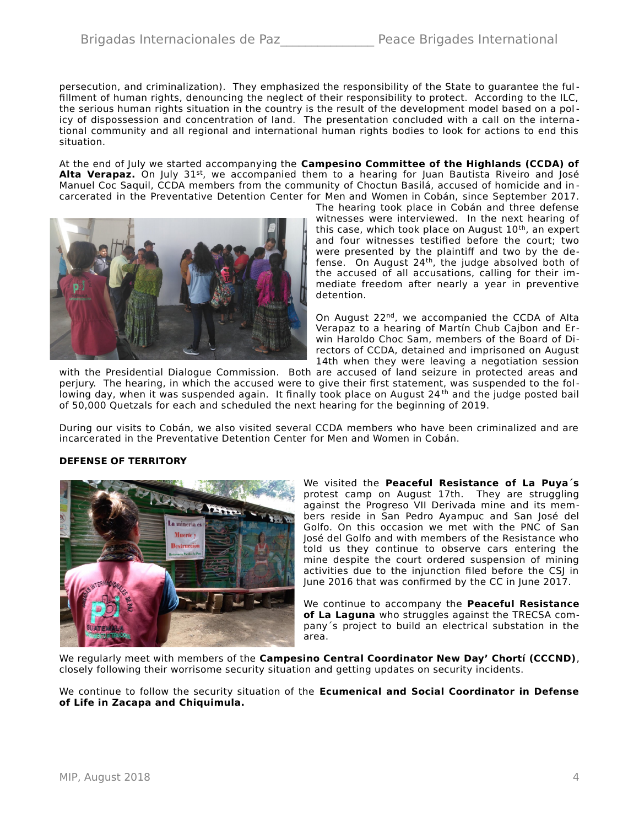persecution, and criminalization). They emphasized the responsibility of the State to guarantee the fulfillment of human rights, denouncing the neglect of their responsibility to protect. According to the ILC, the serious human rights situation in the country is the result of the development model based on a policy of dispossession and concentration of land. The presentation concluded with a call on the interna tional community and all regional and international human rights bodies to look for actions to end this situation.

At the end of July we started accompanying the **Campesino Committee of the Highlands (CCDA) of Alta Verapaz.** On July 31<sup>st</sup>, we accompanied them to a hearing for Juan Bautista Riveiro and José Manuel Coc Saquil, CCDA members from the community of Choctun Basilá, accused of homicide and in carcerated in the Preventative Detention Center for Men and Women in Cobán, since September 2017.



The hearing took place in Cobán and three defense witnesses were interviewed. In the next hearing of this case, which took place on August  $10<sup>th</sup>$ , an expert and four witnesses testified before the court; two were presented by the plaintiff and two by the defense. On August  $24<sup>th</sup>$ , the judge absolved both of the accused of all accusations, calling for their immediate freedom after nearly a year in preventive detention.

On August 22nd, we accompanied the CCDA of Alta Verapaz to a hearing of Martín Chub Cajbon and Er win Haroldo Choc Sam, members of the Board of Directors of CCDA, detained and imprisoned on August 14th when they were leaving a negotiation session

with the Presidential Dialogue Commission. Both are accused of land seizure in protected areas and perjury. The hearing, in which the accused were to give their first statement, was suspended to the following day, when it was suspended again. It finally took place on August 24<sup>th</sup> and the judge posted bail of 50,000 Quetzals for each and scheduled the next hearing for the beginning of 2019.

During our visits to Cobán, we also visited several CCDA members who have been criminalized and are incarcerated in the Preventative Detention Center for Men and Women in Cobán.

#### **DEFENSE OF TERRITORY**



We visited the **Peaceful Resistance of La Puya´s** protest camp on August 17th. They are struggling against the Progreso VII Derivada mine and its members reside in San Pedro Ayampuc and San José del Golfo. On this occasion we met with the PNC of San José del Golfo and with members of the Resistance who told us they continue to observe cars entering the mine despite the court ordered suspension of mining activities due to the injunction filed before the CSJ in June 2016 that was confirmed by the CC in June 2017.

We continue to accompany the **Peaceful Resistance of La Laguna** who struggles against the TRECSA company´s project to build an electrical substation in the area.

We regularly meet with members of the **Campesino Central Coordinator New Day' Chortí (CCCND)**, closely following their worrisome security situation and getting updates on security incidents.

We continue to follow the security situation of the **Ecumenical and Social Coordinator in Defense of Life in Zacapa and Chiquimula.**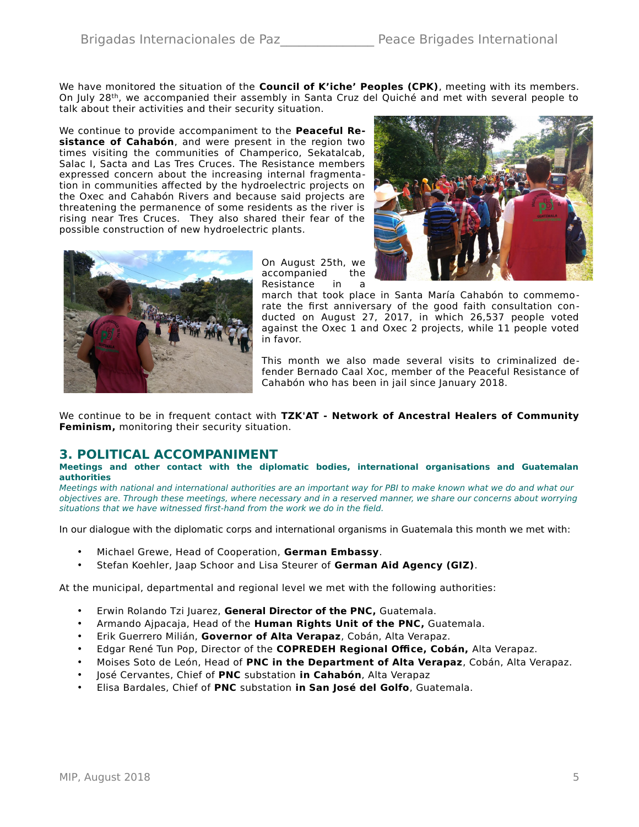We have monitored the situation of the **Council of K'iche' Peoples (CPK)**, meeting with its members. On July 28th, we accompanied their assembly in Santa Cruz del Quiché and met with several people to talk about their activities and their security situation.

We continue to provide accompaniment to the **Peaceful Resistance of Cahabón**, and were present in the region two times visiting the communities of Champerico, Sekatalcab, Salac I, Sacta and Las Tres Cruces. The Resistance members expressed concern about the increasing internal fragmentation in communities affected by the hydroelectric projects on the Oxec and Cahabón Rivers and because said projects are threatening the permanence of some residents as the river is rising near Tres Cruces. They also shared their fear of the possible construction of new hydroelectric plants.



On August 25th, we accompanied the Resistance in a

march that took place in Santa María Cahabón to commemorate the first anniversary of the good faith consultation conducted on August 27, 2017, in which 26,537 people voted against the Oxec 1 and Oxec 2 projects, while 11 people voted in favor.

This month we also made several visits to criminalized defender Bernado Caal Xoc, member of the Peaceful Resistance of Cahabón who has been in jail since January 2018.

We continue to be in frequent contact with **TZK'AT - Network of Ancestral Healers of Community Feminism,** monitoring their security situation.

### **3. POLITICAL ACCOMPANIMENT**

#### **Meetings and other contact with the diplomatic bodies, international organisations and Guatemalan authorities**

Meetings with national and international authorities are an important way for PBI to make known what we do and what our objectives are. Through these meetings, where necessary and in a reserved manner, we share our concerns about worrying situations that we have witnessed first-hand from the work we do in the field.

In our dialogue with the diplomatic corps and international organisms in Guatemala this month we met with:

- Michael Grewe, Head of Cooperation, **German Embassy**.
- Stefan Koehler, Jaap Schoor and Lisa Steurer of **German Aid Agency (GIZ)**.

At the municipal, departmental and regional level we met with the following authorities:

- Erwin Rolando Tzi Juarez, **General Director of the PNC,** Guatemala.
- Armando Ajpacaja, Head of the **Human Rights Unit of the PNC,** Guatemala.
- Erik Guerrero Milián, **Governor of Alta Verapaz**, Cobán, Alta Verapaz.
- Edgar René Tun Pop, Director of the **COPREDEH Regional Office, Cobán,** Alta Verapaz.
- Moises Soto de León, Head of **PNC in the Department of Alta Verapaz**, Cobán, Alta Verapaz.
- José Cervantes, Chief of **PNC** substation **in Cahabón**, Alta Verapaz
- Elisa Bardales, Chief of **PNC** substation **in San José del Golfo**, Guatemala.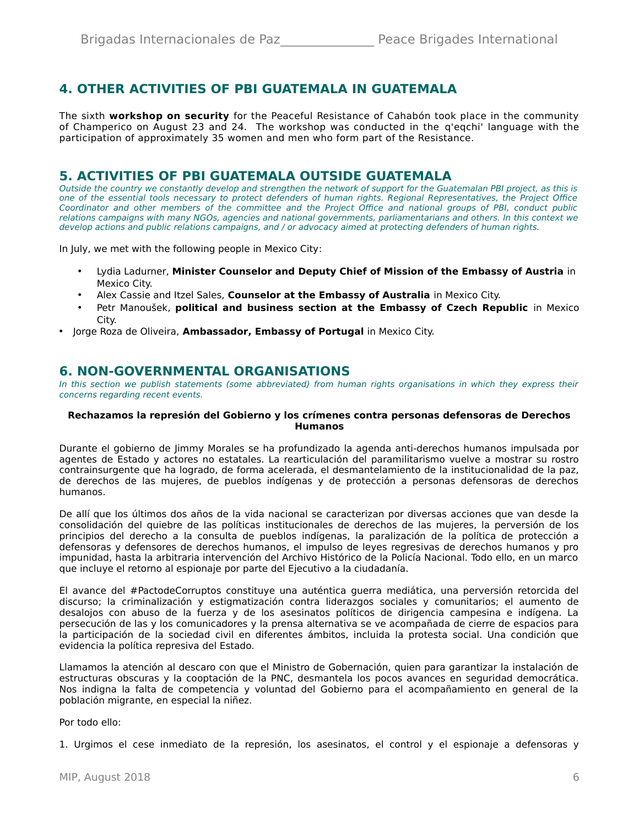# **4. OTHER ACTIVITIES OF PBI GUATEMALA IN GUATEMALA**

The sixth **workshop on security** for the Peaceful Resistance of Cahabón took place in the community of Champerico on August 23 and 24. The workshop was conducted in the q'eqchi' language with the participation of approximately 35 women and men who form part of the Resistance.

### **5. ACTIVITIES OF PBI GUATEMALA OUTSIDE GUATEMALA**

Outside the country we constantly develop and strengthen the network of support for the Guatemalan PBI project, as this is one of the essential tools necessary to protect defenders of human rights. Regional Representatives, the Project Office Coordinator and other members of the committee and the Project Office and national groups of PBI, conduct public relations campaigns with many NGOs, agencies and national governments, parliamentarians and others. In this context we develop actions and public relations campaigns, and / or advocacy aimed at protecting defenders of human rights.

In July, we met with the following people in Mexico City:

- Lydia Ladurner, **Minister Counselor and Deputy Chief of Mission of the Embassy of Austria** in Mexico City.
- Alex Cassie and Itzel Sales, **Counselor at the Embassy of Australia** in Mexico City.
- Petr Manoušek, **political and business section at the Embassy of Czech Republic** in Mexico City.
- Jorge Roza de Oliveira, **Ambassador, Embassy of Portugal** in Mexico City.

### **6. NON-GOVERNMENTAL ORGANISATIONS**

In this section we publish statements (some abbreviated) from human rights organisations in which they express their concerns regarding recent events.

#### **Rechazamos la represión del Gobierno y los crímenes contra personas defensoras de Derechos Humanos**

Durante el gobierno de Jimmy Morales se ha profundizado la agenda anti-derechos humanos impulsada por agentes de Estado y actores no estatales. La rearticulación del paramilitarismo vuelve a mostrar su rostro contrainsurgente que ha logrado, de forma acelerada, el desmantelamiento de la institucionalidad de la paz, de derechos de las mujeres, de pueblos indígenas y de protección a personas defensoras de derechos humanos.

De allí que los últimos dos años de la vida nacional se caracterizan por diversas acciones que van desde la consolidación del quiebre de las políticas institucionales de derechos de las mujeres, la perversión de los principios del derecho a la consulta de pueblos indígenas, la paralización de la política de protección a defensoras y defensores de derechos humanos, el impulso de leyes regresivas de derechos humanos y pro impunidad, hasta la arbitraria intervención del Archivo Histórico de la Policía Nacional. Todo ello, en un marco que incluye el retorno al espionaje por parte del Ejecutivo a la ciudadanía.

El avance del #PactodeCorruptos constituye una auténtica guerra mediática, una perversión retorcida del discurso; la criminalización y estigmatización contra liderazgos sociales y comunitarios; el aumento de desalojos con abuso de la fuerza y de los asesinatos políticos de dirigencia campesina e indígena. La persecución de las y los comunicadores y la prensa alternativa se ve acompañada de cierre de espacios para la participación de la sociedad civil en diferentes ámbitos, incluida la protesta social. Una condición que evidencia la política represiva del Estado.

Llamamos la atención al descaro con que el Ministro de Gobernación, quien para garantizar la instalación de estructuras obscuras y la cooptación de la PNC, desmantela los pocos avances en seguridad democrática. Nos indigna la falta de competencia y voluntad del Gobierno para el acompañamiento en general de la población migrante, en especial la niñez.

Por todo ello:

1. Urgimos el cese inmediato de la represión, los asesinatos, el control y el espionaje a defensoras y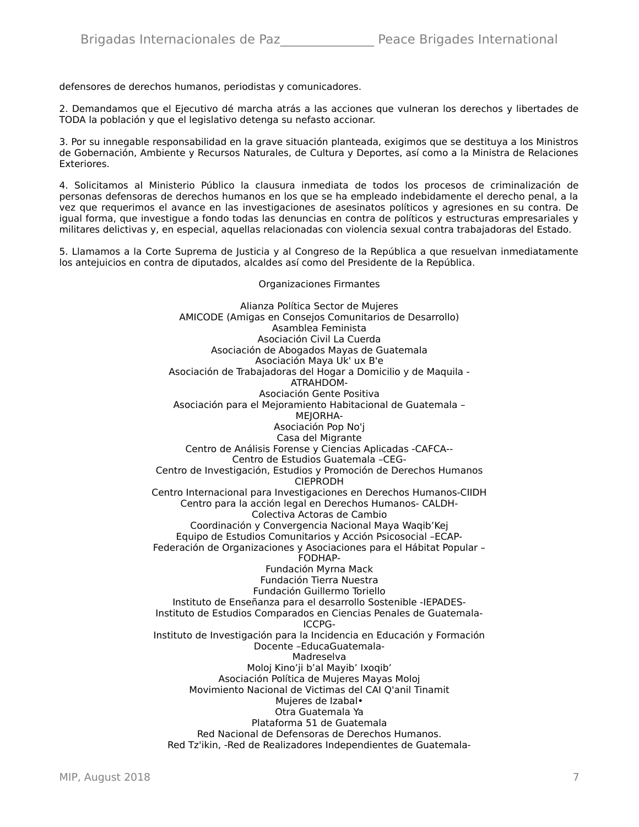defensores de derechos humanos, periodistas y comunicadores.

2. Demandamos que el Ejecutivo dé marcha atrás a las acciones que vulneran los derechos y libertades de TODA la población y que el legislativo detenga su nefasto accionar.

3. Por su innegable responsabilidad en la grave situación planteada, exigimos que se destituya a los Ministros de Gobernación, Ambiente y Recursos Naturales, de Cultura y Deportes, así como a la Ministra de Relaciones Exteriores.

4. Solicitamos al Ministerio Público la clausura inmediata de todos los procesos de criminalización de personas defensoras de derechos humanos en los que se ha empleado indebidamente el derecho penal, a la vez que requerimos el avance en las investigaciones de asesinatos políticos y agresiones en su contra. De igual forma, que investigue a fondo todas las denuncias en contra de políticos y estructuras empresariales y militares delictivas y, en especial, aquellas relacionadas con violencia sexual contra trabajadoras del Estado.

5. Llamamos a la Corte Suprema de Justicia y al Congreso de la República a que resuelvan inmediatamente los antejuicios en contra de diputados, alcaldes así como del Presidente de la República.

#### Organizaciones Firmantes

Alianza Política Sector de Mujeres AMICODE (Amigas en Consejos Comunitarios de Desarrollo) Asamblea Feminista Asociación Civil La Cuerda Asociación de Abogados Mayas de Guatemala Asociación Maya Uk' ux B'e Asociación de Trabajadoras del Hogar a Domicilio y de Maquila - ATRAHDOM-Asociación Gente Positiva Asociación para el Mejoramiento Habitacional de Guatemala – MEIORHA-Asociación Pop No'j Casa del Migrante Centro de Análisis Forense y Ciencias Aplicadas -CAFCA-- Centro de Estudios Guatemala –CEG-Centro de Investigación, Estudios y Promoción de Derechos Humanos CIEPRODH Centro Internacional para Investigaciones en Derechos Humanos-CIIDH Centro para la acción legal en Derechos Humanos- CALDH-Colectiva Actoras de Cambio Coordinación y Convergencia Nacional Maya Waqib'Kej Equipo de Estudios Comunitarios y Acción Psicosocial –ECAP-Federación de Organizaciones y Asociaciones para el Hábitat Popular – FODHAP-Fundación Myrna Mack Fundación Tierra Nuestra Fundación Guillermo Toriello Instituto de Enseñanza para el desarrollo Sostenible -IEPADES-Instituto de Estudios Comparados en Ciencias Penales de Guatemala-ICCPG-Instituto de Investigación para la Incidencia en Educación y Formación Docente –EducaGuatemala-Madreselva Moloj Kino'ji b'al Mayib' Ixoqib' Asociación Política de Mujeres Mayas Moloj Movimiento Nacional de Victimas del CAI Q'anil Tinamit Mujeres de Izabal• Otra Guatemala Ya Plataforma 51 de Guatemala Red Nacional de Defensoras de Derechos Humanos. Red Tz'ikin, -Red de Realizadores Independientes de Guatemala-